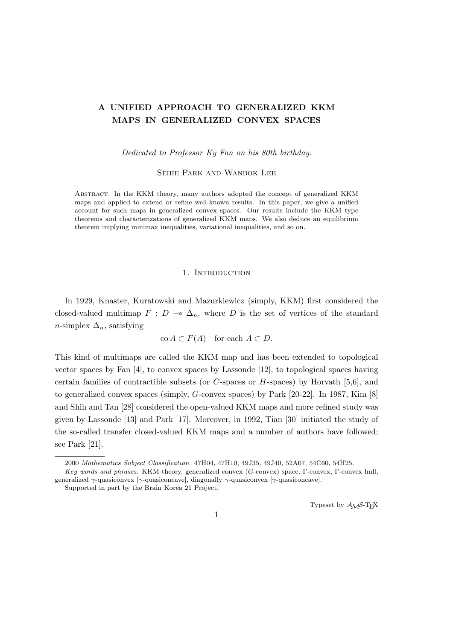# **A UNIFIED APPROACH TO GENERALIZED KKM MAPS IN GENERALIZED CONVEX SPACES**

*Dedicated to Professor Ky Fan on his 80th birthday.*

SEHIE PARK AND WANBOK LEE

Abstract. In the KKM theory, many authors adopted the concept of generalized KKM maps and applied to extend or refine well-known results. In this paper, we give a unified account for such maps in generalized convex spaces. Our results include the KKM type theorems and characterizations of generalized KKM maps. We also deduce an equilibrium theorem implying minimax inequalities, variational inequalities, and so on.

#### 1. INTRODUCTION

In 1929, Knaster, Kuratowski and Mazurkiewicz (simply, KKM) first considered the closed-valued multimap  $F : D \multimap \Delta_n$ , where *D* is the set of vertices of the standard *n*-simplex  $\Delta_n$ , satisfying

$$
co A \subset F(A) \quad \text{for each } A \subset D.
$$

This kind of multimaps are called the KKM map and has been extended to topological vector spaces by Fan [4], to convex spaces by Lassonde [12], to topological spaces having certain families of contractible subsets (or *C*-spaces or *H*-spaces) by Horvath [5,6], and to generalized convex spaces (simply, *G*-convex spaces) by Park [20-22]. In 1987, Kim [8] and Shih and Tan [28] considered the open-valued KKM maps and more refined study was given by Lassonde [13] and Park [17]. Moreover, in 1992, Tian [30] initiated the study of the so-called transfer closed-valued KKM maps and a number of authors have followed; see Park [21].

Typeset by  $A_{\mathcal{M}}S$ -T<sub>E</sub>X

<sup>2000</sup> *Mathematics Subject Classification*. 47H04, 47H10, 49J35, 49J40, 52A07, 54C60, 54H25.

*Key words and phrases*. KKM theory, generalized convex (*G*-convex) space, Γ-convex, Γ-convex hull, generalized *γ*-quasiconvex [*γ*-quasiconcave], diagonally *γ*-quasiconvex [*γ*-quasiconcave].

Supported in part by the Brain Korea 21 Project.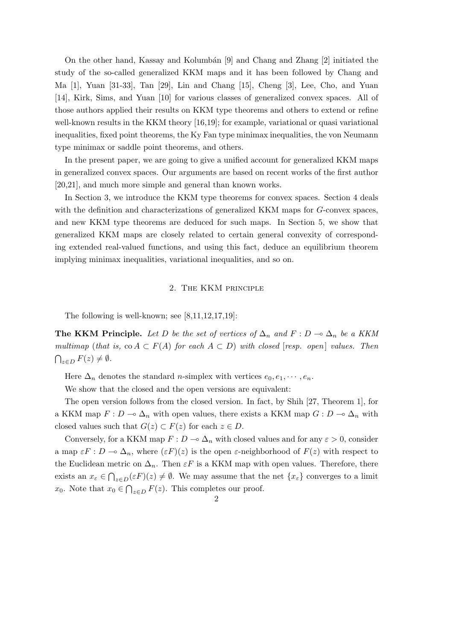On the other hand, Kassay and Kolumbán  $[9]$  and Chang and Zhang  $[2]$  initiated the study of the so-called generalized KKM maps and it has been followed by Chang and Ma [1], Yuan [31-33], Tan [29], Lin and Chang [15], Cheng [3], Lee, Cho, and Yuan [14], Kirk, Sims, and Yuan [10] for various classes of generalized convex spaces. All of those authors applied their results on KKM type theorems and others to extend or refine well-known results in the KKM theory [16,19]; for example, variational or quasi variational inequalities, fixed point theorems, the Ky Fan type minimax inequalities, the von Neumann type minimax or saddle point theorems, and others.

In the present paper, we are going to give a unified account for generalized KKM maps in generalized convex spaces. Our arguments are based on recent works of the first author [20,21], and much more simple and general than known works.

In Section 3, we introduce the KKM type theorems for convex spaces. Section 4 deals with the definition and characterizations of generalized KKM maps for *G*-convex spaces, and new KKM type theorems are deduced for such maps. In Section 5, we show that generalized KKM maps are closely related to certain general convexity of corresponding extended real-valued functions, and using this fact, deduce an equilibrium theorem implying minimax inequalities, variational inequalities, and so on.

## 2. The KKM principle

The following is well-known; see  $[8,11,12,17,19]$ :

**The KKM Principle.** Let D be the set of vertices of  $\Delta_n$  and  $F: D \to \Delta_n$  be a KKM *multimap* (*that is,* co  $A \subset F(A)$  *for each*  $A \subset D$ ) *with closed* [*resp. open*] *values. Then*  $\bigcap_{z \in D} F(z) \neq \emptyset$ .

Here  $\Delta_n$  denotes the standard *n*-simplex with vertices  $e_0, e_1, \dots, e_n$ .

We show that the closed and the open versions are equivalent:

The open version follows from the closed version. In fact, by Shih [27, Theorem 1], for a KKM map  $F: D \to \Delta_n$  with open values, there exists a KKM map  $G: D \to \Delta_n$  with closed values such that  $G(z) \subset F(z)$  for each  $z \in D$ .

Conversely, for a KKM map  $F: D \to \Delta_n$  with closed values and for any  $\varepsilon > 0$ , consider a map  $\epsilon F : D \to \Delta_n$ , where  $(\epsilon F)(z)$  is the open  $\varepsilon$ -neighborhood of  $F(z)$  with respect to the Euclidean metric on  $\Delta_n$ . Then  $\varepsilon F$  is a KKM map with open values. Therefore, there exists an  $x_{\varepsilon} \in \bigcap_{z \in D} (\varepsilon F)(z) \neq \emptyset$ . We may assume that the net  $\{x_{\varepsilon}\}\)$  converges to a limit *x*<sub>0</sub>. Note that  $x_0 \in \bigcap_{z \in D} F(z)$ . This completes our proof.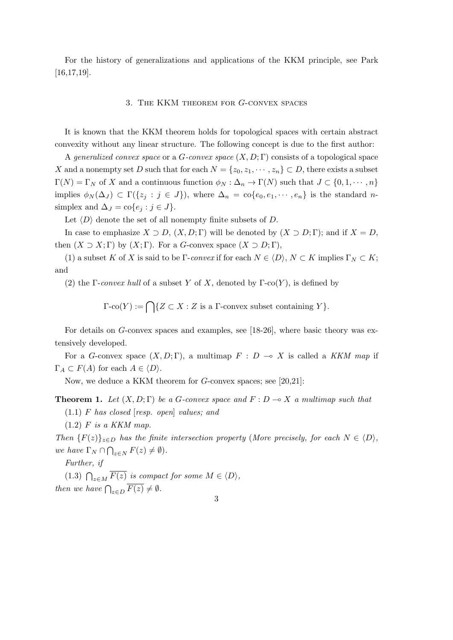For the history of generalizations and applications of the KKM principle, see Park [16,17,19].

## 3. The KKM theorem for *G*-convex spaces

It is known that the KKM theorem holds for topological spaces with certain abstract convexity without any linear structure. The following concept is due to the first author:

A *generalized convex space* or a *G-convex space* (*X, D*; Γ) consists of a topological space *X* and a nonempty set *D* such that for each  $N = \{z_0, z_1, \dots, z_n\} \subset D$ , there exists a subset  $\Gamma(N) = \Gamma_N$  of *X* and a continuous function  $\phi_N : \Delta_n \to \Gamma(N)$  such that  $J \subset \{0, 1, \dots, n\}$ implies  $\phi_N(\Delta_J) \subset \Gamma({z_j : j \in J})$ , where  $\Delta_n = \text{co}\{e_0, e_1, \dots, e_n\}$  is the standard nsimplex and  $\Delta_J = \text{co}\{e_j : j \in J\}.$ 

Let  $\langle D \rangle$  denote the set of all nonempty finite subsets of  $D$ .

In case to emphasize  $X \supset D$ ,  $(X, D; \Gamma)$  will be denoted by  $(X \supset D; \Gamma)$ ; and if  $X = D$ , then  $(X \supset X; \Gamma)$  by  $(X; \Gamma)$ . For a *G*-convex space  $(X \supset D; \Gamma)$ ,

(1) a subset *K* of *X* is said to be Γ-*convex* if for each  $N \in \langle D \rangle$ ,  $N \subset K$  implies  $\Gamma_N \subset K$ ; and

(2) the Γ-*convex hull* of a subset *Y* of *X*, denoted by Γ-co(*Y*), is defined by

 $\Gamma$ -co(*Y*) :=  $\bigcap \{Z \subset X : Z \text{ is a } \Gamma\text{-convex subset containing } Y\}.$ 

For details on *G*-convex spaces and examples, see [18-26], where basic theory was extensively developed.

For a *G*-convex space  $(X, D; \Gamma)$ , a multimap  $F: D \to X$  is called a *KKM map* if  $\Gamma_A \subset F(A)$  for each  $A \in \langle D \rangle$ .

Now, we deduce a KKM theorem for *G*-convex spaces; see [20,21]:

**Theorem 1.** Let  $(X, D; \Gamma)$  be a *G*-convex space and  $F: D \to X$  *a multimap such that* 

(1*.*1) *F has closed* [*resp. open*] *values; and*

(1*.*2) *F is a KKM map.*

*Then*  ${F(z)}_{z \in D}$  *has the finite intersection property* (*More precisely, for each*  $N \in \langle D \rangle$ *, we have*  $\Gamma_N \cap \bigcap_{z \in N} F(z) \neq \emptyset$ *.* 

*Further, if*

(1.3)  $\bigcap_{z \in M} \overline{F(z)}$  *is compact for some*  $M \in \langle D \rangle$ *, then we have*  $\bigcap_{z \in D} \overline{F(z)} \neq \emptyset$ *.* 

3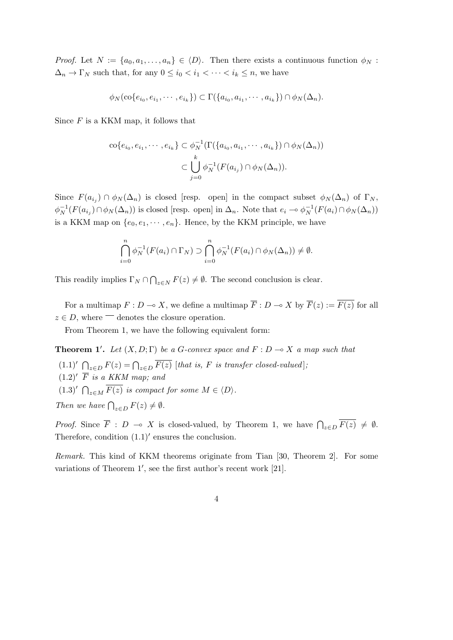*Proof.* Let  $N := \{a_0, a_1, \ldots, a_n\} \in \langle D \rangle$ . Then there exists a continuous function  $\phi_N$ :  $\Delta_n \to \Gamma_N$  such that, for any  $0 \leq i_0 < i_1 < \cdots < i_k \leq n$ , we have

$$
\phi_N(\text{co}\{e_{i_0}, e_{i_1}, \cdots, e_{i_k}\}) \subset \Gamma(\{a_{i_0}, a_{i_1}, \cdots, a_{i_k}\}) \cap \phi_N(\Delta_n).
$$

Since *F* is a KKM map, it follows that

$$
\operatorname{co}\{e_{i_0}, e_{i_1}, \cdots, e_{i_k}\} \subset \phi_N^{-1}(\Gamma(\{a_{i_0}, a_{i_1}, \cdots, a_{i_k}\}) \cap \phi_N(\Delta_n))
$$

$$
\subset \bigcup_{j=0}^k \phi_N^{-1}(F(a_{i_j}) \cap \phi_N(\Delta_n)).
$$

Since  $F(a_{i_j}) \cap \phi_N(\Delta_n)$  is closed [resp. open] in the compact subset  $\phi_N(\Delta_n)$  of  $\Gamma_N$ ,  $\phi_N^{-1}(F(a_{i_j}) \cap \phi_N(\Delta_n))$  is closed [resp. open] in  $\Delta_n$ . Note that  $e_i \to \phi_N^{-1}(F(a_i) \cap \phi_N(\Delta_n))$ is a KKM map on  $\{e_0, e_1, \dots, e_n\}$ . Hence, by the KKM principle, we have

$$
\bigcap_{i=0}^{n} \phi_N^{-1}(F(a_i) \cap \Gamma_N) \supset \bigcap_{i=0}^{n} \phi_N^{-1}(F(a_i) \cap \phi_N(\Delta_n)) \neq \emptyset.
$$

This readily implies  $\Gamma_N \cap \bigcap_{z \in N} F(z) \neq \emptyset$ . The second conclusion is clear.

For a multimap  $F: D \to X$ , we define a multimap  $\overline{F}: D \to X$  by  $\overline{F}(z) := \overline{F(z)}$  for all  $z \in D$ , where  $\equiv$  denotes the closure operation.

From Theorem 1, we have the following equivalent form:

**Theorem 1'.** Let  $(X, D; \Gamma)$  be a *G*-convex space and  $F: D \to X$  *a map such that* (1.1)<sup>*′*</sup>  $\bigcap_{z \in D} F(z) = \bigcap_{z \in D} \overline{F(z)}$  [*that is, F is transfer closed-valued*];  $(1.2)'$   $\overline{F}$  *is a KKM map; and*  $(1.3)'$   $\bigcap_{z \in M} \overline{F(z)}$  *is compact for some*  $M \in \langle D \rangle$ *. Then we have*  $\bigcap_{z \in D} F(z) \neq \emptyset$ *.* 

*Proof.* Since  $\overline{F}$  : *D*  $\rightarrow \infty$  *X* is closed-valued, by Theorem 1, we have  $\bigcap_{z \in D} \overline{F(z)} \neq \emptyset$ . Therefore, condition (1*.*1)*′* ensures the conclusion.

*Remark.* This kind of KKM theorems originate from Tian [30, Theorem 2]. For some variations of Theorem 1', see the first author's recent work [21].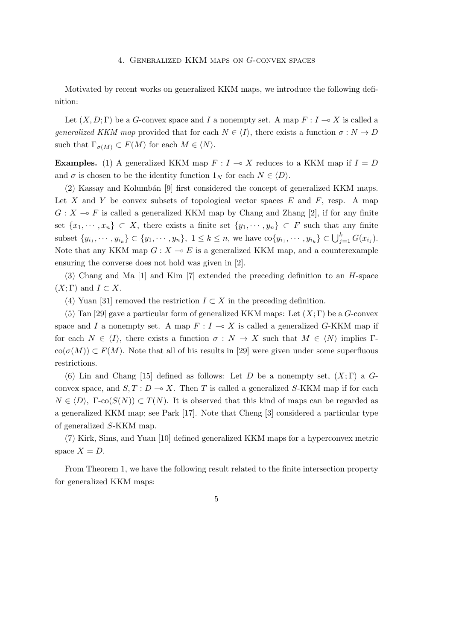#### 4. Generalized KKM maps on *G*-convex spaces

Motivated by recent works on generalized KKM maps, we introduce the following definition:

Let  $(X, D; \Gamma)$  be a *G*-convex space and *I* a nonempty set. A map  $F: I \to X$  is called a *generalized KKM map* provided that for each  $N \in \langle I \rangle$ , there exists a function  $\sigma : N \to D$ such that  $\Gamma_{\sigma(M)} \subset F(M)$  for each  $M \in \langle N \rangle$ .

**Examples.** (1) A generalized KKM map  $F: I \rightarrow X$  reduces to a KKM map if  $I = D$ and  $\sigma$  is chosen to be the identity function  $1_N$  for each  $N \in \langle D \rangle$ .

 $(2)$  Kassay and Kolumbán [9] first considered the concept of generalized KKM maps. Let *X* and *Y* be convex subsets of topological vector spaces *E* and *F*, resp. A map  $G: X \longrightarrow F$  is called a generalized KKM map by Chang and Zhang [2], if for any finite set  $\{x_1, \dots, x_n\} \subset X$ , there exists a finite set  $\{y_1, \dots, y_n\} \subset F$  such that any finite subset  $\{y_{i_1}, \dots, y_{i_k}\} \subset \{y_1, \dots, y_n\}, 1 \leq k \leq n$ , we have  $\text{co}\{y_{i_1}, \dots, y_{i_k}\} \subset \bigcup_{j=1}^k G(x_{i_j}).$ Note that any KKM map  $G: X \to E$  is a generalized KKM map, and a counterexample ensuring the converse does not hold was given in [2].

(3) Chang and Ma [1] and Kim [7] extended the preceding definition to an *H*-space  $(X; \Gamma)$  and  $I \subset X$ .

(4) Yuan [31] removed the restriction  $I \subset X$  in the preceding definition.

(5) Tan [29] gave a particular form of generalized KKM maps: Let (*X*; Γ) be a *G*-convex space and *I* a nonempty set. A map  $F: I \to X$  is called a generalized *G*-KKM map if for each  $N \in \langle I \rangle$ , there exists a function  $\sigma : N \to X$  such that  $M \in \langle N \rangle$  implies  $\Gamma$  $co(\sigma(M)) \subset F(M)$ . Note that all of his results in [29] were given under some superfluous restrictions.

(6) Lin and Chang [15] defined as follows: Let *D* be a nonempty set, (*X*; Γ) a *G*convex space, and  $S, T: D \to X$ . Then *T* is called a generalized *S*-KKM map if for each  $N \in \langle D \rangle$ ,  $\Gamma$ -co( $S(N)$ )  $\subset T(N)$ . It is observed that this kind of maps can be regarded as a generalized KKM map; see Park [17]. Note that Cheng [3] considered a particular type of generalized *S*-KKM map.

(7) Kirk, Sims, and Yuan [10] defined generalized KKM maps for a hyperconvex metric space  $X = D$ .

From Theorem 1, we have the following result related to the finite intersection property for generalized KKM maps: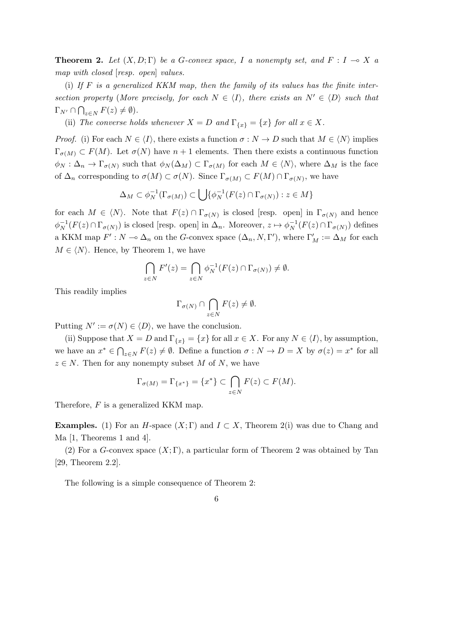**Theorem 2.** Let  $(X, D; \Gamma)$  be a *G*-convex space, *I* a nonempty set, and  $F: I \to X$  a *map with closed* [*resp. open*] *values.*

(i) *If F is a generalized KKM map, then the family of its values has the finite intersection property* (*More precisely, for each*  $N \in \langle I \rangle$ *, there exists an*  $N' \in \langle D \rangle$  *such that*  $\Gamma_{N'} \cap \bigcap_{z \in N} F(z) \neq \emptyset$ .

(ii) *The converse holds whenever*  $X = D$  *and*  $\Gamma_{\{x\}} = \{x\}$  *for all*  $x \in X$ *.* 

*Proof.* (i) For each  $N \in \langle I \rangle$ , there exists a function  $\sigma : N \to D$  such that  $M \in \langle N \rangle$  implies  $\Gamma_{\sigma(M)} \subset F(M)$ . Let  $\sigma(N)$  have  $n+1$  elements. Then there exists a continuous function  $\phi_N : \Delta_n \to \Gamma_{\sigma(N)}$  such that  $\phi_N(\Delta_M) \subset \Gamma_{\sigma(M)}$  for each  $M \in \langle N \rangle$ , where  $\Delta_M$  is the face of  $\Delta_n$  corresponding to  $\sigma(M) \subset \sigma(N)$ . Since  $\Gamma_{\sigma(M)} \subset F(M) \cap \Gamma_{\sigma(N)}$ , we have

$$
\Delta_M \subset \phi_N^{-1}(\Gamma_{\sigma(M)}) \subset \bigcup \{ \phi_N^{-1}(F(z) \cap \Gamma_{\sigma(N)}) : z \in M \}
$$

for each  $M \in \langle N \rangle$ . Note that  $F(z) \cap \Gamma_{\sigma(N)}$  is closed [resp. open] in  $\Gamma_{\sigma(N)}$  and hence  $\phi_N^{-1}(F(z) \cap \Gamma_{\sigma(N)})$  is closed [resp. open] in  $\Delta_n$ . Moreover,  $z \mapsto \phi_N^{-1}(F(z) \cap \Gamma_{\sigma(N)})$  defines a KKM map  $F': N \to \Delta_n$  on the *G*-convex space  $(\Delta_n, N, \Gamma')$ , where  $\Gamma'_M := \Delta_M$  for each  $M \in \langle N \rangle$ . Hence, by Theorem 1, we have

$$
\bigcap_{z \in N} F'(z) = \bigcap_{z \in N} \phi_N^{-1}(F(z) \cap \Gamma_{\sigma(N)}) \neq \emptyset.
$$

This readily implies

$$
\Gamma_{\sigma(N)} \cap \bigcap_{z \in N} F(z) \neq \emptyset.
$$

Putting  $N' := \sigma(N) \in \langle D \rangle$ , we have the conclusion.

(ii) Suppose that  $X = D$  and  $\Gamma_{\{x\}} = \{x\}$  for all  $x \in X$ . For any  $N \in \langle I \rangle$ , by assumption, we have an  $x^* \in \bigcap_{z \in N} F(z) \neq \emptyset$ . Define a function  $\sigma : N \to D = X$  by  $\sigma(z) = x^*$  for all  $z \in N$ . Then for any nonempty subset *M* of *N*, we have

$$
\Gamma_{\sigma(M)} = \Gamma_{\{x^*\}} = \{x^*\} \subset \bigcap_{z \in N} F(z) \subset F(M).
$$

Therefore, *F* is a generalized KKM map.

**Examples.** (1) For an *H*-space  $(X;\Gamma)$  and  $I \subset X$ , Theorem 2(i) was due to Chang and Ma [1, Theorems 1 and 4].

(2) For a *G*-convex space  $(X; \Gamma)$ , a particular form of Theorem 2 was obtained by Tan [29, Theorem 2.2].

The following is a simple consequence of Theorem 2: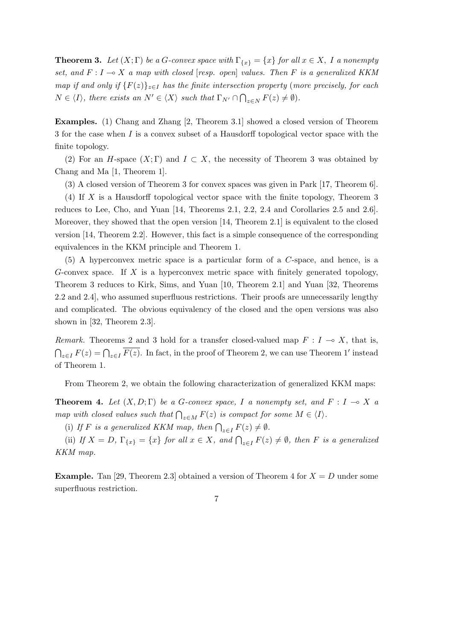**Theorem 3.** Let  $(X; \Gamma)$  be a *G*-convex space with  $\Gamma_{\{x\}} = \{x\}$  for all  $x \in X$ , I a nonempty *set, and*  $F: I \to X$  *a map with closed* [*resp. open*] *values. Then F is a generalized KKM map if and only if*  ${F(z)}_{z \in I}$  *has the finite intersection property* (*more precisely, for each*  $N \in \langle I \rangle$ , there exists an  $N' \in \langle X \rangle$  such that  $\Gamma_{N'} \cap \bigcap_{z \in N} F(z) \neq \emptyset$ .

**Examples.** (1) Chang and Zhang [2, Theorem 3.1] showed a closed version of Theorem 3 for the case when *I* is a convex subset of a Hausdorff topological vector space with the finite topology.

(2) For an *H*-space  $(X; \Gamma)$  and  $I \subset X$ , the necessity of Theorem 3 was obtained by Chang and Ma [1, Theorem 1].

(3) A closed version of Theorem 3 for convex spaces was given in Park [17, Theorem 6].

(4) If *X* is a Hausdorff topological vector space with the finite topology, Theorem 3 reduces to Lee, Cho, and Yuan [14, Theorems 2.1, 2.2, 2.4 and Corollaries 2.5 and 2.6]. Moreover, they showed that the open version [14, Theorem 2.1] is equivalent to the closed version [14, Theorem 2.2]. However, this fact is a simple consequence of the corresponding equivalences in the KKM principle and Theorem 1.

(5) A hyperconvex metric space is a particular form of a *C*-space, and hence, is a *G*-convex space. If *X* is a hyperconvex metric space with finitely generated topology, Theorem 3 reduces to Kirk, Sims, and Yuan [10, Theorem 2.1] and Yuan [32, Theorems 2.2 and 2.4], who assumed superfluous restrictions. Their proofs are unnecessarily lengthy and complicated. The obvious equivalency of the closed and the open versions was also shown in [32, Theorem 2.3].

*Remark.* Theorems 2 and 3 hold for a transfer closed-valued map  $F: I \to X$ , that is,  $∩_{z∈I} F(z) = ∩_{z∈I} \overline{F(z)}$ . In fact, in the proof of Theorem 2, we can use Theorem 1' instead of Theorem 1.

From Theorem 2, we obtain the following characterization of generalized KKM maps:

**Theorem 4.** Let  $(X, D; \Gamma)$  be a *G*-convex space, *I* a nonempty set, and  $F: I \to X$  a *map with closed values such that*  $\bigcap_{z \in M} F(z)$  *is compact for some*  $M \in \langle I \rangle$ *.* 

(i) If *F* is a generalized KKM map, then  $\bigcap_{z \in I} F(z) \neq \emptyset$ .

(ii) If  $X = D$ ,  $\Gamma_{\{x\}} = \{x\}$  for all  $x \in X$ , and  $\bigcap_{z \in I} F(z) \neq \emptyset$ , then F is a generalized *KKM map.*

**Example.** Tan [29, Theorem 2.3] obtained a version of Theorem 4 for  $X = D$  under some superfluous restriction.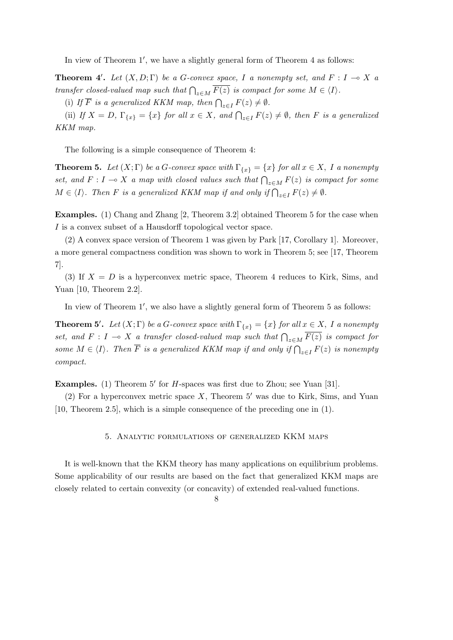In view of Theorem 1', we have a slightly general form of Theorem 4 as follows:

**Theorem 4'**. Let  $(X, D; \Gamma)$  be a *G*-convex space, *I* a nonempty set, and  $F: I \to X$  a *transfer closed-valued map such that*  $\bigcap_{z \in M} \overline{F(z)}$  *is compact for some*  $M \in \langle I \rangle$ *.* 

(i) If  $\overline{F}$  is a generalized KKM map, then  $\bigcap_{z \in I} F(z) \neq \emptyset$ .

(ii) If  $X = D$ ,  $\Gamma_{\{x\}} = \{x\}$  for all  $x \in X$ , and  $\bigcap_{z \in I} F(z) \neq \emptyset$ , then F is a generalized *KKM map.*

The following is a simple consequence of Theorem 4:

**Theorem 5.** Let  $(X; \Gamma)$  be a *G*-convex space with  $\Gamma_{\{x\}} = \{x\}$  for all  $x \in X$ , I a nonempty *set, and*  $F: I \to X$  *a map with closed values such that*  $\bigcap_{z \in M} F(z)$  *is compact for some*  $M \in \langle I \rangle$ . Then *F* is a generalized KKM map if and only if  $\bigcap_{z \in I} F(z) \neq \emptyset$ .

**Examples.** (1) Chang and Zhang [2, Theorem 3.2] obtained Theorem 5 for the case when *I* is a convex subset of a Hausdorff topological vector space.

(2) A convex space version of Theorem 1 was given by Park [17, Corollary 1]. Moreover, a more general compactness condition was shown to work in Theorem 5; see [17, Theorem 7].

(3) If  $X = D$  is a hyperconvex metric space, Theorem 4 reduces to Kirk, Sims, and Yuan [10, Theorem 2.2].

In view of Theorem 1', we also have a slightly general form of Theorem 5 as follows:

**Theorem 5<sup>***′***</sup>.** *Let*  $(X; \Gamma)$  *be a G-convex space with*  $\Gamma_{\{x\}} = \{x\}$  *for all*  $x \in X$ *, I a nonempty set, and*  $F: I \to X$  *a transfer closed-valued map such that*  $\bigcap_{z \in M} \overline{F(z)}$  *is compact for some*  $M \in \langle I \rangle$ *. Then*  $\overline{F}$  *is a generalized KKM map if and only if*  $\bigcap_{z \in I} F(z)$  *is nonempty compact.*

**Examples.** (1) Theorem 5' for *H*-spaces was first due to Zhou; see Yuan [31].

(2) For a hyperconvex metric space *X*, Theorem 5*′* was due to Kirk, Sims, and Yuan [10, Theorem 2.5], which is a simple consequence of the preceding one in (1).

## 5. Analytic formulations of generalized KKM maps

It is well-known that the KKM theory has many applications on equilibrium problems. Some applicability of our results are based on the fact that generalized KKM maps are closely related to certain convexity (or concavity) of extended real-valued functions.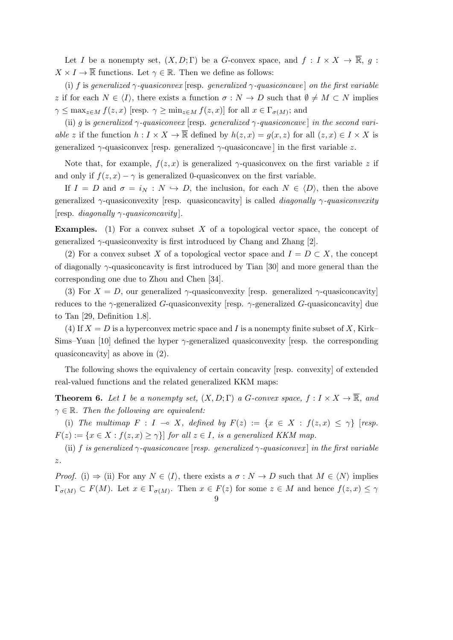Let *I* be a nonempty set,  $(X, D; \Gamma)$  be a *G*-convex space, and  $f: I \times X \to \overline{\mathbb{R}}, g:$  $X \times I \to \overline{\mathbb{R}}$  functions. Let  $\gamma \in \mathbb{R}$ . Then we define as follows:

(i)  $f$  is generalized  $\gamma$ -quasiconvex [resp. generalized  $\gamma$ -quasiconcave] on the first variable *z* if for each  $N \in \langle I \rangle$ , there exists a function  $\sigma : N \to D$  such that  $\emptyset \neq M \subset N$  implies  $\gamma \leq \max_{z \in M} f(z, x)$  [resp.  $\gamma \geq \min_{z \in M} f(z, x)$ ] for all  $x \in \Gamma_{\sigma(M)}$ ; and

(ii) *g* is *generalized*  $\gamma$ -*quasiconvex* [resp. *generalized*  $\gamma$ -*quasiconcave*] *in the second variable z* if the function  $h: I \times X \to \overline{\mathbb{R}}$  defined by  $h(z, x) = g(x, z)$  for all  $(z, x) \in I \times X$  is generalized  $\gamma$ -quasiconvex [resp. generalized  $\gamma$ -quasiconcave] in the first variable *z*.

Note that, for example,  $f(z, x)$  is generalized  $\gamma$ -quasiconvex on the first variable z if and only if  $f(z, x) - \gamma$  is generalized 0-quasiconvex on the first variable.

If  $I = D$  and  $\sigma = i_N : N \hookrightarrow D$ , the inclusion, for each  $N \in \langle D \rangle$ , then the above generalized *γ*-quasiconvexity [resp. quasiconcavity] is called *diagonally γ-quasiconvexity* [resp. *diagonally γ-quasiconcavity* ].

**Examples.** (1) For a convex subset X of a topological vector space, the concept of generalized *γ*-quasiconvexity is first introduced by Chang and Zhang [2].

(2) For a convex subset *X* of a topological vector space and  $I = D \subset X$ , the concept of diagonally *γ*-quasiconcavity is first introduced by Tian [30] and more general than the corresponding one due to Zhou and Chen [34].

(3) For  $X = D$ , our generalized  $\gamma$ -quasiconvexity [resp. generalized  $\gamma$ -quasiconcavity] reduces to the *γ*-generalized *G*-quasiconvexity [resp. *γ*-generalized *G*-quasiconcavity] due to Tan [29, Definition 1.8].

(4) If  $X = D$  is a hyperconvex metric space and I is a nonempty finite subset of X, Kirk– Sims–Yuan [10] defined the hyper *γ*-generalized quasiconvexity [resp. the corresponding quasiconcavity] as above in (2).

The following shows the equivalency of certain concavity [resp. convexity] of extended real-valued functions and the related generalized KKM maps:

**Theorem 6.** Let I be a nonempty set,  $(X, D; \Gamma)$  a *G*-convex space,  $f: I \times X \to \overline{\mathbb{R}}$ , and  $\gamma \in \mathbb{R}$ *. Then the following are equivalent:* 

(i) *The multimap*  $F: I \rightarrow X$ , defined by  $F(z) := \{x \in X : f(z, x) \leq \gamma\}$  [resp.  $F(z) := \{x \in X : f(z, x) \geq \gamma\}$  *for all*  $z \in I$ *, is a generalized KKM map.* 

(ii) *f is generalized*  $\gamma$ *-quasiconcave* [*resp. generalized*  $\gamma$ *-quasiconvex*] *in the first variable z.*

*Proof.* (i)  $\Rightarrow$  (ii) For any  $N \in \langle I \rangle$ , there exists a  $\sigma : N \to D$  such that  $M \in \langle N \rangle$  implies  $\Gamma_{\sigma(M)} \subset F(M)$ . Let  $x \in \Gamma_{\sigma(M)}$ . Then  $x \in F(z)$  for some  $z \in M$  and hence  $f(z, x) \leq \gamma$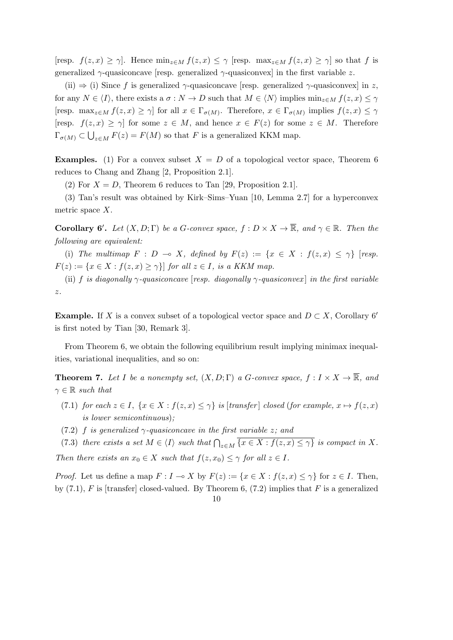$[\text{resp. } f(z, x) \geq \gamma]$ . Hence  $\min_{z \in M} f(z, x) \leq \gamma$  [resp.  $\max_{z \in M} f(z, x) \geq \gamma$ ] so that *f* is generalized  $\gamma$ -quasiconcave [resp. generalized  $\gamma$ -quasiconvex] in the first variable *z*.

(ii)  $\Rightarrow$  (i) Since *f* is generalized  $\gamma$ -quasiconcave [resp. generalized  $\gamma$ -quasiconvex] in *z*, for any  $N \in \langle I \rangle$ , there exists a  $\sigma : N \to D$  such that  $M \in \langle N \rangle$  implies  $\min_{z \in M} f(z, x) \leq \gamma$ [resp. max<sub>z</sub><sub>∈M</sub>  $f(z, x) \geq \gamma$ ] for all  $x \in \Gamma_{\sigma(M)}$ . Therefore,  $x \in \Gamma_{\sigma(M)}$  implies  $f(z, x) \leq \gamma$ [resp.  $f(z, x) \ge \gamma$ ] for some  $z \in M$ , and hence  $x \in F(z)$  for some  $z \in M$ . Therefore  $\Gamma_{\sigma(M)} \subset \bigcup_{z \in M} F(z) = F(M)$  so that *F* is a generalized KKM map.

**Examples.** (1) For a convex subset  $X = D$  of a topological vector space, Theorem 6 reduces to Chang and Zhang [2, Proposition 2.1].

(2) For  $X = D$ , Theorem 6 reduces to Tan [29, Proposition 2.1].

(3) Tan's result was obtained by Kirk–Sims–Yuan [10, Lemma 2.7] for a hyperconvex metric space *X*.

**Corollary 6<sup>***'***</sup>.** *Let*  $(X, D; \Gamma)$  *be a G-convex space,*  $f: D \times X \to \overline{\mathbb{R}}$ *, and*  $\gamma \in \mathbb{R}$ *. Then the following are equivalent:*

(i) *The multimap*  $F : D \multimap X$ , defined by  $F(z) := \{x \in X : f(z, x) \leq \gamma\}$  [resp.  $F(z) := \{x \in X : f(z, x) \geq \gamma\}$  *for all*  $z \in I$ *, is a KKM map.* 

(ii) *f is diagonally γ-quasiconcave* [*resp. diagonally γ-quasiconvex* ] *in the first variable z.*

**Example.** If *X* is a convex subset of a topological vector space and  $D \subset X$ , Corollary 6*′* is first noted by Tian [30, Remark 3].

From Theorem 6, we obtain the following equilibrium result implying minimax inequalities, variational inequalities, and so on:

**Theorem 7.** Let I be a nonempty set,  $(X, D; \Gamma)$  a *G*-convex space,  $f: I \times X \to \overline{\mathbb{R}}$ , and  $\gamma \in \mathbb{R}$  *such that* 

- (7.1) for each  $z \in I$ ,  $\{x \in X : f(z, x) \leq \gamma\}$  is [transfer] closed (for example,  $x \mapsto f(z, x)$ *is lower semicontinuous*)*;*
- (7.2) *f is generalized γ-quasiconcave in the first variable z; and*

(7.3) there exists a set  $M \in \langle I \rangle$  such that  $\bigcap_{z \in M} \overline{\{x \in X : f(z,x) \leq \gamma\}}$  is compact in X. *Then there exists an*  $x_0 \in X$  *such that*  $f(z, x_0) \leq \gamma$  *for all*  $z \in I$ *.* 

*Proof.* Let us define a map  $F: I \to X$  by  $F(z) := \{x \in X : f(z, x) \leq \gamma\}$  for  $z \in I$ . Then, by  $(7.1)$ , *F* is [transfer] closed-valued. By Theorem 6,  $(7.2)$  implies that *F* is a generalized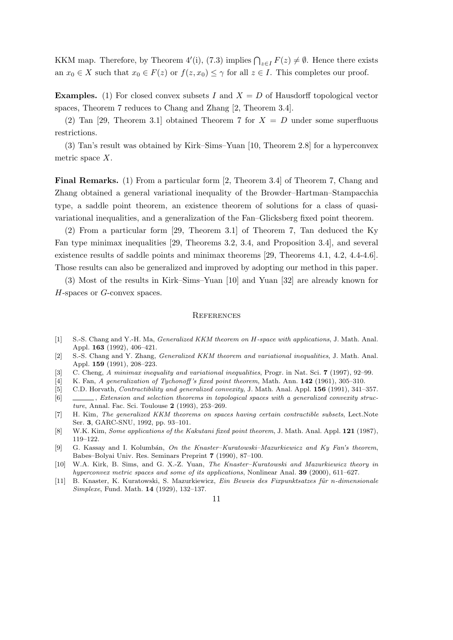KKM map. Therefore, by Theorem 4'(i), (7.3) implies  $\bigcap_{z \in I} F(z) \neq \emptyset$ . Hence there exists an  $x_0 \in X$  such that  $x_0 \in F(z)$  or  $f(z, x_0) \leq \gamma$  for all  $z \in I$ . This completes our proof.

**Examples.** (1) For closed convex subsets *I* and  $X = D$  of Hausdorff topological vector spaces, Theorem 7 reduces to Chang and Zhang [2, Theorem 3.4].

(2) Tan [29, Theorem 3.1] obtained Theorem 7 for  $X = D$  under some superfluous restrictions.

(3) Tan's result was obtained by Kirk–Sims–Yuan [10, Theorem 2.8] for a hyperconvex metric space *X*.

**Final Remarks.** (1) From a particular form [2, Theorem 3.4] of Theorem 7, Chang and Zhang obtained a general variational inequality of the Browder–Hartman–Stampacchia type, a saddle point theorem, an existence theorem of solutions for a class of quasivariational inequalities, and a generalization of the Fan–Glicksberg fixed point theorem.

(2) From a particular form [29, Theorem 3.1] of Theorem 7, Tan deduced the Ky Fan type minimax inequalities [29, Theorems 3.2, 3.4, and Proposition 3.4], and several existence results of saddle points and minimax theorems [29, Theorems 4.1, 4.2, 4.4-4.6]. Those results can also be generalized and improved by adopting our method in this paper.

(3) Most of the results in Kirk–Sims–Yuan [10] and Yuan [32] are already known for *H*-spaces or *G*-convex spaces.

## **REFERENCES**

- [1] S.-S. Chang and Y.-H. Ma, *Generalized KKM theorem on H-space with applications*, J. Math. Anal. Appl. **163** (1992), 406–421.
- [2] S.-S. Chang and Y. Zhang, *Generalized KKM theorem and variational inequalities*, J. Math. Anal. Appl. **159** (1991), 208–223.
- [3] C. Cheng, *A minimax inequality and variational inequalities*, Progr. in Nat. Sci. **7** (1997), 92–99.
- [4] K. Fan, *A generalization of Tychonoff 's fixed point theorem*, Math. Ann. **142** (1961), 305–310.
- [5] C.D. Horvath, *Contractibility and generalized convexity*, J. Math. Anal. Appl. **156** (1991), 341–357.
- [6] , *Extension and selection theorems in topological spaces with a generalized convexity structure*, Annal. Fac. Sci. Toulouse **2** (1993), 253–269.
- [7] H. Kim, *The generalized KKM theorems on spaces having certain contractible subsets*, Lect.Note Ser. **3**, GARC-SNU, 1992, pp. 93–101.
- [8] W.K. Kim, *Some applications of the Kakutani fixed point theorem*, J. Math. Anal. Appl. **121** (1987), 119–122.
- [9] G. Kassay and I. Kolumbán, *On the Knaster–Kuratowski–Mazurkiewicz and Ky Fan's theorem*, Babes–Bolyai Univ. Res. Seminars Preprint **7** (1990), 87–100.
- [10] W.A. Kirk, B. Sims, and G. X.-Z. Yuan, *The Knaster–Kuratowski and Mazurkiewicz theory in hyperconvex metric spaces and some of its applications*, Nonlinear Anal. **39** (2000), 611–627.
- [11] B. Knaster, K. Kuratowski, S. Mazurkiewicz, *Ein Beweis des Fixpunktsatzes f¨ur n-dimensionale Simplexe*, Fund. Math. **14** (1929), 132–137.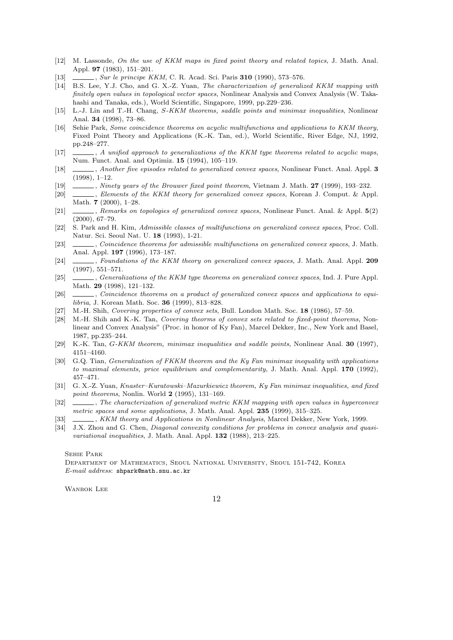- [12] M. Lassonde, *On the use of KKM maps in fixed point theory and related topics*, J. Math. Anal. Appl. **97** (1983), 151–201.
- [13] , *Sur le principe KKM*, C. R. Acad. Sci. Paris **310** (1990), 573–576.
- [14] B.S. Lee, Y.J. Cho, and G. X.-Z. Yuan, *The characterization of generalized KKM mapping with finitely open values in topological vector spaces*, Nonlinear Analysis and Convex Analysis (W. Takahashi and Tanaka, eds.), World Scientific, Singapore, 1999, pp.229–236.
- [15] L.-J. Lin and T.-H. Chang, *S-KKM theorems, saddle points and minimax inequalities*, Nonlinear Anal. **34** (1998), 73–86.
- [16] Sehie Park, *Some coincidence theorems on acyclic multifunctions and applications to KKM theory*, Fixed Point Theory and Applications (K.-K. Tan, ed.), World Scientific, River Edge, NJ, 1992, pp.248–277.
- [17] , *A unified approach to generalizations of the KKM type theorems related to acyclic maps*, Num. Funct. Anal. and Optimiz. **15** (1994), 105–119.
- [18] , *Another five episodes related to generalized convex spaces*, Nonlinear Funct. Anal. Appl. **3** (1998), 1–12.
- [19] , *Ninety years of the Brouwer fixed point theorem*, Vietnam J. Math. **27** (1999), 193–232.
- [20] , *Elements of the KKM theory for generalized convex spaces*, Korean J. Comput. & Appl. Math. **7** (2000), 1–28.
- [21] , *Remarks on topologies of generalized convex spaces*, Nonlinear Funct. Anal. & Appl. **5**(2) (2000), 67–79.
- [22] S. Park and H. Kim, *Admissible classes of multifunctions on generalized convex spaces*, Proc. Coll. Natur. Sci. Seoul Nat. U. **18** (1993), 1-21.
- [23] , *Coincidence theorems for admissible multifunctions on generalized convex spaces*, J. Math. Anal. Appl. **197** (1996), 173–187.
- [24] , *Foundations of the KKM theory on generalized convex spaces*, J. Math. Anal. Appl. **209** (1997), 551–571.
- [25] , *Generalizations of the KKM type theorems on generalized convex spaces*, Ind. J. Pure Appl. Math. **29** (1998), 121–132.
- [26] , *Coincidence theorems on a product of generalized convex spaces and applications to equilibria*, J. Korean Math. Soc. **36** (1999), 813–828.
- [27] M.-H. Shih, *Covering properties of convex sets*, Bull. London Math. Soc. **18** (1986), 57–59.
- [28] M.-H. Shih and K.-K. Tan, *Covering theorms of convex sets related to fixed-point theorems*, Nonlinear and Convex Analysis" (Proc. in honor of Ky Fan), Marcel Dekker, Inc., New York and Basel, 1987, pp.235–244.
- [29] K.-K. Tan, *G-KKM theorem, minimax inequalities and saddle points*, Nonlinear Anal. **30** (1997), 4151–4160.
- [30] G.Q. Tian, *Generalization of FKKM theorem and the Ky Fan minimax inequality with applications to maximal elements, price equilibrium and complementarity*, J. Math. Anal. Appl. **170** (1992), 457–471.
- [31] G. X.-Z. Yuan, *Knaster–Kuratowski–Mazurkiewicz theorem, Ky Fan minimax inequalities, and fixed point theorems*, Nonlin. World **2** (1995), 131–169.
- [32] , *The characterization of generalized metric KKM mapping with open values in hyperconvex metric spaces and some applications*, J. Math. Anal. Appl. **235** (1999), 315–325.
- [33] , *KKM theory and Applications in Nonlinear Analysis*, Marcel Dekker, New York, 1999.
- [34] J.X. Zhou and G. Chen, *Diagonal convexity conditions for problems in convex analysis and quasivariational inequalities*, J. Math. Anal. Appl. **132** (1988), 213–225.

#### Sehie Park

Department of Mathematics, Seoul National University, Seoul 151-742, Korea *E-mail address*: shpark@math.snu.ac.kr

WANBOK LEE